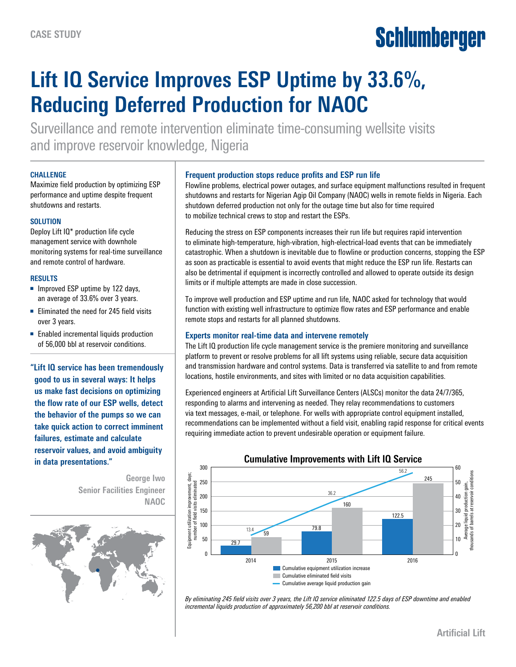# Schlumberger

## **Lift IQ Service Improves ESP Uptime by 33.6%, Reducing Deferred Production for NAOC**

Surveillance and remote intervention eliminate time-consuming wellsite visits and improve reservoir knowledge, Nigeria

#### **CHALLENGE**

Maximize field production by optimizing ESP performance and uptime despite frequent shutdowns and restarts.

#### **SOLUTION**

Deploy Lift IQ\* production life cycle management service with downhole monitoring systems for real-time surveillance and remote control of hardware.

#### **RESULTS**

- Improved ESP uptime by 122 days, an average of 33.6% over 3 years.
- Eliminated the need for 245 field visits over 3 years.
- Enabled incremental liquids production of 56,000 bbl at reservoir conditions.

**"Lift IQ service has been tremendously good to us in several ways: It helps us make fast decisions on optimizing the flow rate of our ESP wells, detect the behavior of the pumps so we can take quick action to correct imminent failures, estimate and calculate reservoir values, and avoid ambiguity in data presentations."**

> **George Iwo Senior Facilities Engineer NAOC**



#### **Frequent production stops reduce profits and ESP run life**

Flowline problems, electrical power outages, and surface equipment malfunctions resulted in frequent shutdowns and restarts for Nigerian Agip Oil Company (NAOC) wells in remote fields in Nigeria. Each shutdown deferred production not only for the outage time but also for time required to mobilize technical crews to stop and restart the ESPs.

Reducing the stress on ESP components increases their run life but requires rapid intervention to eliminate high-temperature, high-vibration, high-electrical-load events that can be immediately catastrophic. When a shutdown is inevitable due to flowline or production concerns, stopping the ESP as soon as practicable is essential to avoid events that might reduce the ESP run life. Restarts can also be detrimental if equipment is incorrectly controlled and allowed to operate outside its design limits or if multiple attempts are made in close succession.

To improve well production and ESP uptime and run life, NAOC asked for technology that would function with existing well infrastructure to optimize flow rates and ESP performance and enable remote stops and restarts for all planned shutdowns.

### **Experts monitor real-time data and intervene remotely**

The Lift IQ production life cycle management service is the premiere monitoring and surveillance platform to prevent or resolve problems for all lift systems using reliable, secure data acquisition and transmission hardware and control systems. Data is transferred via satellite to and from remote locations, hostile environments, and sites with limited or no data acquisition capabilities.

Experienced engineers at Artificial Lift Surveillance Centers (ALSCs) monitor the data 24/7/365, responding to alarms and intervening as needed. They relay recommendations to customers via text messages, e-mail, or telephone. For wells with appropriate control equipment installed, recommendations can be implemented without a field visit, enabling rapid response for critical events requiring immediate action to prevent undesirable operation or equipment failure.



*By eliminating 245 field visits over 3 years, the Lift IQ service eliminated 122.5 days of ESP downtime and enabled incremental liquids production of approximately 56,200 bbl at reservoir conditions.*